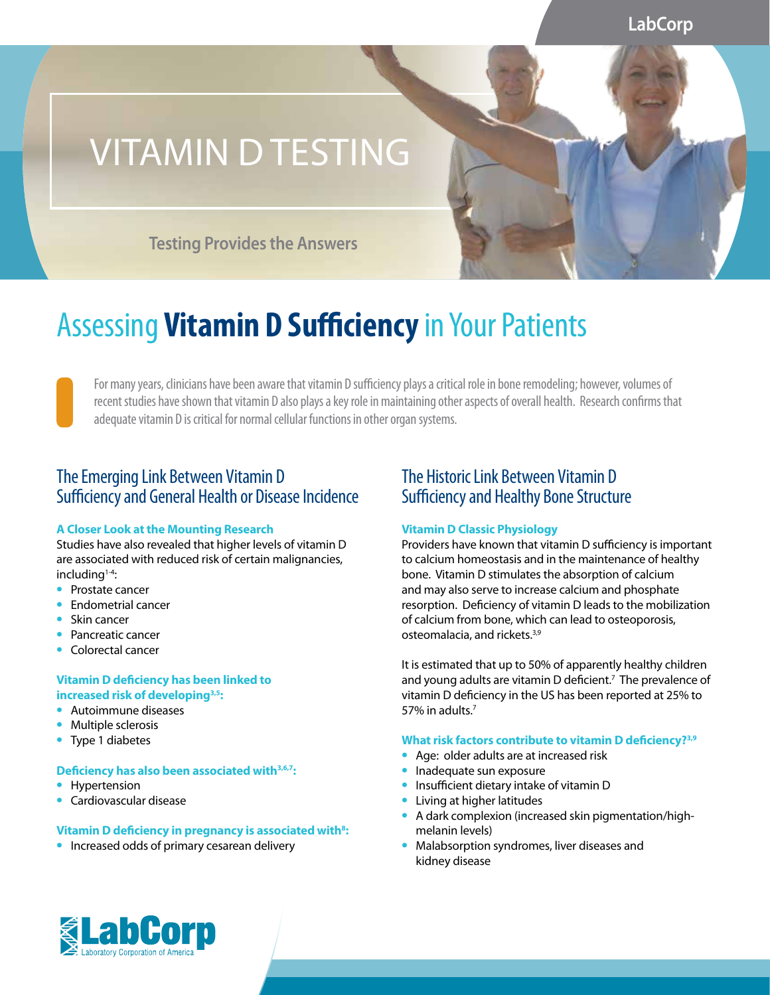**LabCorp**

# VITAMIN D TESTING

**Testing Provides the Answers**

## Assessing **Vitamin D Sufficiency** in Your Patients

For many years, clinicians have been aware that vitamin D sufficiency plays a critical role in bone remodeling; however, volumes of recent studies have shown that vitamin D also plays a key role in maintaining other aspects of overall health. Research confirms that adequate vitamin D is critical for normal cellular functions in other organ systems.

### The Emerging Link Between Vitamin D Sufficiency and General Health or Disease Incidence

### **A Closer Look at the Mounting Research**

Studies have also revealed that higher levels of vitamin D are associated with reduced risk of certain malignancies, including<sup>1-4</sup>:

- **•** Prostate cancer
- **•** Endometrial cancer
- **•** Skin cancer
- **•** Pancreatic cancer
- **•** Colorectal cancer

### **Vitamin D deficiency has been linked to increased risk of developing3,5:**

- **•** Autoimmune diseases
- **•** Multiple sclerosis
- **•** Type 1 diabetes

### **Deficiency has also been associated with3,6,7:**

- **•** Hypertension
- **•** Cardiovascular disease

### **Vitamin D deficiency in pregnancy is associated with<sup>8</sup>:**

**•** Increased odds of primary cesarean delivery

## The Historic Link Between Vitamin D Sufficiency and Healthy Bone Structure

### **Vitamin D Classic Physiology**

Providers have known that vitamin D sufficiency is important to calcium homeostasis and in the maintenance of healthy bone. Vitamin D stimulates the absorption of calcium and may also serve to increase calcium and phosphate resorption. Deficiency of vitamin D leads to the mobilization of calcium from bone, which can lead to osteoporosis, osteomalacia, and rickets.3,9

It is estimated that up to 50% of apparently healthy children and young adults are vitamin D deficient.<sup>7</sup> The prevalence of vitamin D deficiency in the US has been reported at 25% to 57% in adults  $<sup>7</sup>$ </sup>

#### **What risk factors contribute to vitamin D deficiency?3,9**

- **•** Age: older adults are at increased risk
- **•** Inadequate sun exposure
- **•** Insufficient dietary intake of vitamin D
- **•** Living at higher latitudes
- **•** A dark complexion (increased skin pigmentation/highmelanin levels)
- **•** Malabsorption syndromes, liver diseases and kidney disease